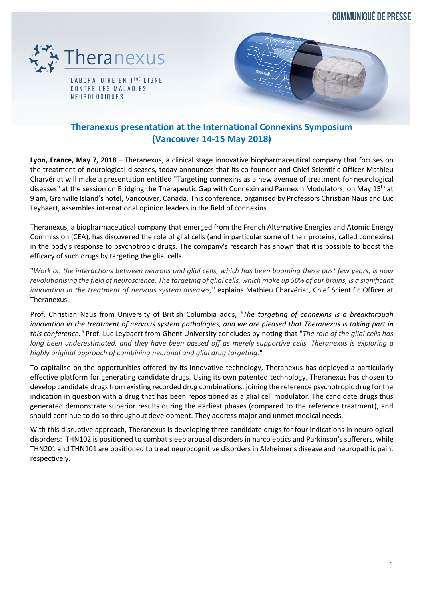**COMMUNIQUÉ DE PRESSE** 



LABORATOIRE EN 1<sup>ERE</sup> LIGNE CONTRE LES MALADIES NEUROLOGIQUES



# **Theranexus presentation at the International Connexins Symposium (Vancouver 14-15 May 2018)**

**Lyon, France, May 7, 2018** – Theranexus, a clinical stage innovative biopharmaceutical company that focuses on the treatment of neurological diseases, today announces that its co-founder and Chief Scientific Officer Mathieu Charvériat will make a presentation entitled "Targeting connexins as a new avenue of treatment for neurological diseases" at the session on Bridging the Therapeutic Gap with Connexin and Pannexin Modulators, on May 15th at 9 am, Granville Island's hotel, Vancouver, Canada. This conference, organised by Professors Christian Naus and Luc Leybaert, assembles international opinion leaders in the field of connexins.

Theranexus, a biopharmaceutical company that emerged from the French Alternative Energies and Atomic Energy Commission (CEA), has discovered the role of glial cells (and in particular some of their proteins, called connexins) in the body's response to psychotropic drugs. The company's research has shown that it is possible to boost the efficacy of such drugs by targeting the glial cells.

"*Work on the interactions between neurons and glial cells, which has been booming these past few years, is now revolutionising the field of neuroscience. The targeting of glial cells, which make up 50% of our brains, is a significant innovation in the treatment of nervous system diseases,*" explains Mathieu Charvériat, Chief Scientific Officer at Theranexus.

Prof. Christian Naus from University of British Columbia adds, *"The targeting of connexins is a breakthrough innovation in the treatment of nervous system pathologies, and we are pleased that Theranexus is taking part in this conference."* Prof. Luc Leybaert from Ghent University concludes by noting that "*The role of the glial cells has long been underestimated, and they have been passed off as merely supportive cells. Theranexus is exploring a highly original approach of combining neuronal and glial drug targeting.*"

To capitalise on the opportunities offered by its innovative technology, Theranexus has deployed a particularly effective platform for generating candidate drugs. Using its own patented technology, Theranexus has chosen to develop candidate drugs from existing recorded drug combinations, joining the reference psychotropic drug for the indication in question with a drug that has been repositioned as a glial cell modulator. The candidate drugs thus generated demonstrate superior results during the earliest phases (compared to the reference treatment), and should continue to do so throughout development. They address major and unmet medical needs.

With this disruptive approach, Theranexus is developing three candidate drugs for four indications in neurological disorders: THN102 is positioned to combat sleep arousal disorders in narcoleptics and Parkinson's sufferers, while THN201 and THN101 are positioned to treat neurocognitive disorders in Alzheimer's disease and neuropathic pain, respectively.